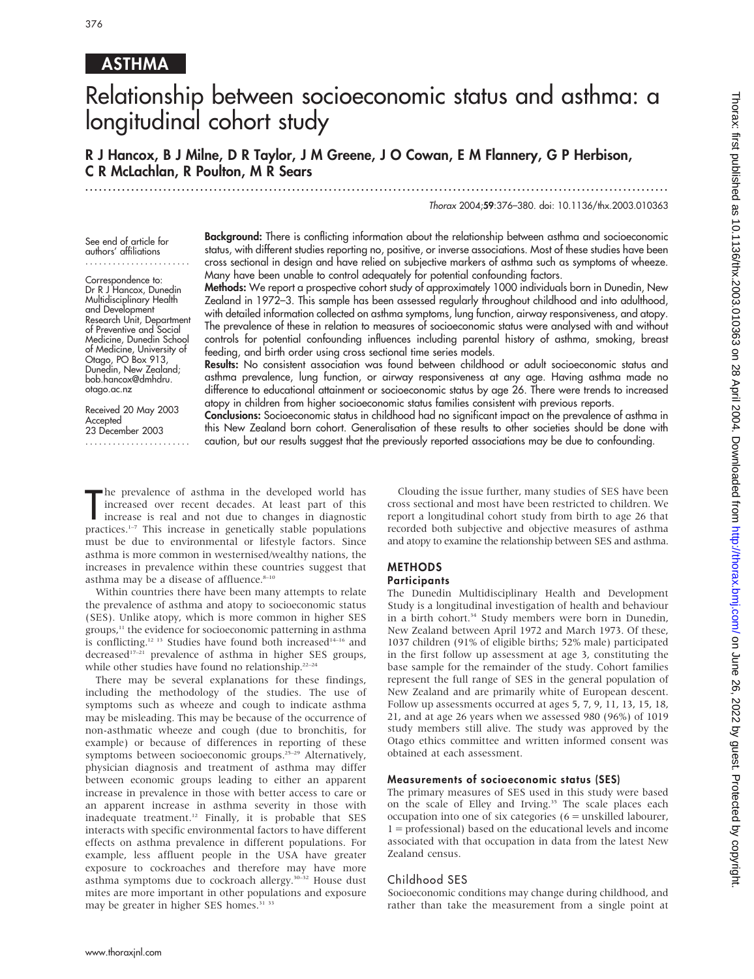# ASTHMA

# Relationship between socioeconomic status and asthma: a longitudinal cohort study

R J Hancox, B J Milne, D R Taylor, J M Greene, J O Cowan, E M Flannery, G P Herbison, C R McLachlan, R Poulton, M R Sears

.............................................................................................................................. .

Thorax 2004;59:376–380. doi: 10.1136/thx.2003.010363

See end of article for authors' affiliations

Correspondence to: Dr R J Hancox, Dunedin Multidisciplinary Health and Development Research Unit, Department of Preventive and Social Medicine, Dunedin School of Medicine, University of Otago, PO Box 913, Dunedin, New Zealand; bob.hancox@dmhdru. otago.ac.nz

Received 20 May 2003 **Accepted** 23 December 2003

.......................

Background: There is conflicting information about the relationship between asthma and socioeconomic status, with different studies reporting no, positive, or inverse associations. Most of these studies have been cross sectional in design and have relied on subjective markers of asthma such as symptoms of wheeze. Many have been unable to control adequately for potential confounding factors.

Methods: We report a prospective cohort study of approximately 1000 individuals born in Dunedin, New Zealand in 1972–3. This sample has been assessed regularly throughout childhood and into adulthood, with detailed information collected on asthma symptoms, lung function, airway responsiveness, and atopy. The prevalence of these in relation to measures of socioeconomic status were analysed with and without controls for potential confounding influences including parental history of asthma, smoking, breast feeding, and birth order using cross sectional time series models.

Results: No consistent association was found between childhood or adult socioeconomic status and asthma prevalence, lung function, or airway responsiveness at any age. Having asthma made no difference to educational attainment or socioeconomic status by age 26. There were trends to increased atopy in children from higher socioeconomic status families consistent with previous reports.

Conclusions: Socioeconomic status in childhood had no significant impact on the prevalence of asthma in this New Zealand born cohort. Generalisation of these results to other societies should be done with caution, but our results suggest that the previously reported associations may be due to confounding.

The prevalence of asthma in the developed world has<br>increased over recent decades. At least part of this<br>increase is real and not due to changes in diagnostic<br>practices.<sup>1–7</sup> This increase in genetically stable populations he prevalence of asthma in the developed world has increased over recent decades. At least part of this increase is real and not due to changes in diagnostic must be due to environmental or lifestyle factors. Since asthma is more common in westernised/wealthy nations, the increases in prevalence within these countries suggest that asthma may be a disease of affluence.<sup>8-10</sup>

Within countries there have been many attempts to relate the prevalence of asthma and atopy to socioeconomic status (SES). Unlike atopy, which is more common in higher SES groups,<sup>11</sup> the evidence for socioeconomic patterning in asthma is conflicting.<sup>12 13</sup> Studies have found both increased<sup>14-16</sup> and decreased<sup>17-21</sup> prevalence of asthma in higher SES groups, while other studies have found no relationship.<sup>22-24</sup>

There may be several explanations for these findings, including the methodology of the studies. The use of symptoms such as wheeze and cough to indicate asthma may be misleading. This may be because of the occurrence of non-asthmatic wheeze and cough (due to bronchitis, for example) or because of differences in reporting of these symptoms between socioeconomic groups.25–29 Alternatively, physician diagnosis and treatment of asthma may differ between economic groups leading to either an apparent increase in prevalence in those with better access to care or an apparent increase in asthma severity in those with inadequate treatment.<sup>12</sup> Finally, it is probable that SES interacts with specific environmental factors to have different effects on asthma prevalence in different populations. For example, less affluent people in the USA have greater exposure to cockroaches and therefore may have more asthma symptoms due to cockroach allergy.<sup>30-32</sup> House dust mites are more important in other populations and exposure may be greater in higher SES homes.<sup>31</sup> <sup>33</sup>

Clouding the issue further, many studies of SES have been cross sectional and most have been restricted to children. We report a longitudinal cohort study from birth to age 26 that recorded both subjective and objective measures of asthma and atopy to examine the relationship between SES and asthma.

# METHODS

# **Participants**

The Dunedin Multidisciplinary Health and Development Study is a longitudinal investigation of health and behaviour in a birth cohort.<sup>34</sup> Study members were born in Dunedin, New Zealand between April 1972 and March 1973. Of these, 1037 children (91% of eligible births; 52% male) participated in the first follow up assessment at age 3, constituting the base sample for the remainder of the study. Cohort families represent the full range of SES in the general population of New Zealand and are primarily white of European descent. Follow up assessments occurred at ages 5, 7, 9, 11, 13, 15, 18, 21, and at age 26 years when we assessed 980 (96%) of 1019 study members still alive. The study was approved by the Otago ethics committee and written informed consent was obtained at each assessment.

### Measurements of socioeconomic status (SES)

The primary measures of SES used in this study were based on the scale of Elley and Irving.<sup>35</sup> The scale places each occupation into one of six categories (6 = unskilled labourer, 1 = professional) based on the educational levels and income associated with that occupation in data from the latest New Zealand census.

# Childhood SES

Socioeconomic conditions may change during childhood, and rather than take the measurement from a single point at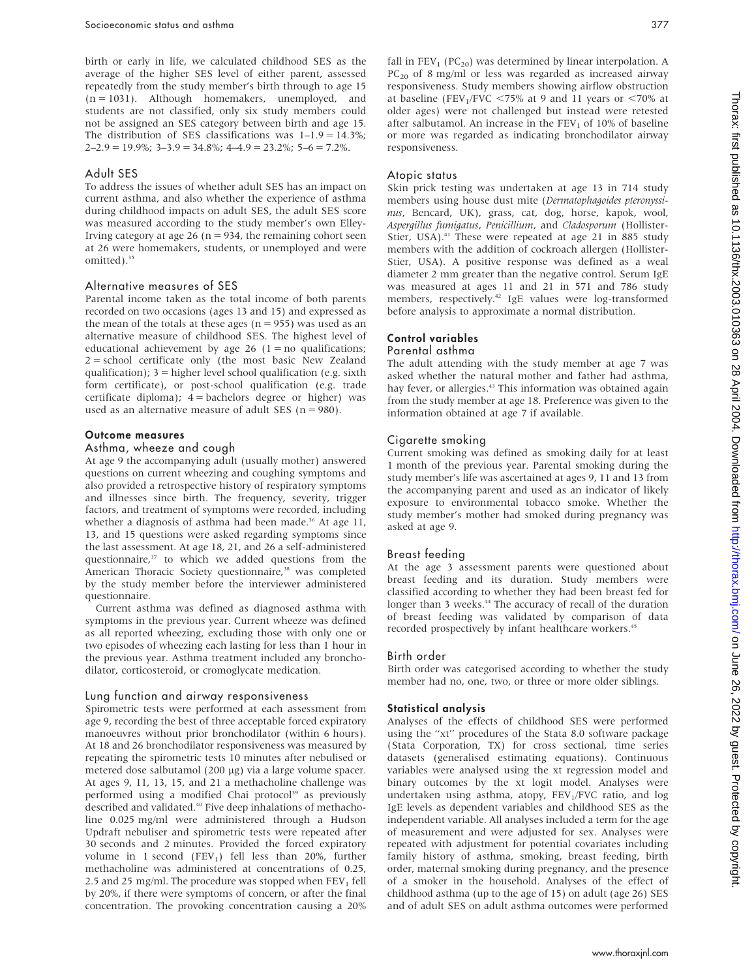birth or early in life, we calculated childhood SES as the average of the higher SES level of either parent, assessed repeatedly from the study member's birth through to age 15 (n = 1031). Although homemakers, unemployed, and students are not classified, only six study members could not be assigned an SES category between birth and age 15. The distribution of SES classifications was  $1-1.9 = 14.3\%$ ;  $2-2.9 = 19.9\%$ ;  $3-3.9 = 34.8\%$ ;  $4-4.9 = 23.2\%$ ;  $5-6 = 7.2\%$ .

#### Adult SES

To address the issues of whether adult SES has an impact on current asthma, and also whether the experience of asthma during childhood impacts on adult SES, the adult SES score was measured according to the study member's own Elley-Irving category at age 26 ( $n = 934$ , the remaining cohort seen at 26 were homemakers, students, or unemployed and were omitted).<sup>35</sup>

#### Alternative measures of SES

Parental income taken as the total income of both parents recorded on two occasions (ages 13 and 15) and expressed as the mean of the totals at these ages ( $n = 955$ ) was used as an alternative measure of childhood SES. The highest level of educational achievement by age 26 ( $1 = no$  qualifications;  $2 =$  school certificate only (the most basic New Zealand qualification);  $3 =$  higher level school qualification (e.g. sixth form certificate), or post-school qualification (e.g. trade certificate diploma);  $4 =$  bachelors degree or higher) was used as an alternative measure of adult SES ( $n = 980$ ).

#### Outcome measures

#### Asthma, wheeze and cough

At age 9 the accompanying adult (usually mother) answered questions on current wheezing and coughing symptoms and also provided a retrospective history of respiratory symptoms and illnesses since birth. The frequency, severity, trigger factors, and treatment of symptoms were recorded, including whether a diagnosis of asthma had been made.<sup>36</sup> At age 11, 13, and 15 questions were asked regarding symptoms since the last assessment. At age 18, 21, and 26 a self-administered questionnaire,<sup>37</sup> to which we added questions from the American Thoracic Society questionnaire,<sup>38</sup> was completed by the study member before the interviewer administered questionnaire.

Current asthma was defined as diagnosed asthma with symptoms in the previous year. Current wheeze was defined as all reported wheezing, excluding those with only one or two episodes of wheezing each lasting for less than 1 hour in the previous year. Asthma treatment included any bronchodilator, corticosteroid, or cromoglycate medication.

### Lung function and airway responsiveness

Spirometric tests were performed at each assessment from age 9, recording the best of three acceptable forced expiratory manoeuvres without prior bronchodilator (within 6 hours). At 18 and 26 bronchodilator responsiveness was measured by repeating the spirometric tests 10 minutes after nebulised or metered dose salbutamol (200 µg) via a large volume spacer. At ages 9, 11, 13, 15, and 21 a methacholine challenge was performed using a modified Chai protocol<sup>39</sup> as previously described and validated.<sup>40</sup> Five deep inhalations of methacholine 0.025 mg/ml were administered through a Hudson Updraft nebuliser and spirometric tests were repeated after 30 seconds and 2 minutes. Provided the forced expiratory volume in 1 second (FEV<sub>1</sub>) fell less than 20%, further methacholine was administered at concentrations of 0.25, 2.5 and 25 mg/ml. The procedure was stopped when  $FEV<sub>1</sub>$  fell by 20%, if there were symptoms of concern, or after the final concentration. The provoking concentration causing a 20% Thorax: first published as 10.1136/thx.2003.010363 on 28 April 2004. Downloaded from http://thorax.bmj.com/ on June 26, 2022 by guest. Protected by copyright on June 26, 2022 by guest. Protected by copyright. <http://thorax.bmj.com/> Thorax: first published as 10.1136/thx.2003.010363 on 28 April 2004. Downloaded from

fall in  $FEV_1$  (PC<sub>20</sub>) was determined by linear interpolation. A  $PC_{20}$  of 8 mg/ml or less was regarded as increased airway responsiveness. Study members showing airflow obstruction at baseline (FEV<sub>1</sub>/FVC  $\langle 75\%$  at 9 and 11 years or  $\langle 70\%$  at older ages) were not challenged but instead were retested after salbutamol. An increase in the  $FEV<sub>1</sub>$  of 10% of baseline or more was regarded as indicating bronchodilator airway responsiveness.

#### Atopic status

Skin prick testing was undertaken at age 13 in 714 study members using house dust mite (Dermatophagoides pteronyssinus, Bencard, UK), grass, cat, dog, horse, kapok, wool, Aspergillus fumigatus, Penicillium, and Cladosporum (Hollister-Stier, USA).<sup>41</sup> These were repeated at age 21 in 885 study members with the addition of cockroach allergen (Hollister-Stier, USA). A positive response was defined as a weal diameter 2 mm greater than the negative control. Serum IgE was measured at ages 11 and 21 in 571 and 786 study members, respectively.42 IgE values were log-transformed before analysis to approximate a normal distribution.

#### Control variables Parental asthma

The adult attending with the study member at age 7 was asked whether the natural mother and father had asthma, hay fever, or allergies.<sup>43</sup> This information was obtained again from the study member at age 18. Preference was given to the information obtained at age 7 if available.

### Cigarette smoking

Current smoking was defined as smoking daily for at least 1 month of the previous year. Parental smoking during the study member's life was ascertained at ages 9, 11 and 13 from the accompanying parent and used as an indicator of likely exposure to environmental tobacco smoke. Whether the study member's mother had smoked during pregnancy was asked at age 9.

#### Breast feeding

At the age 3 assessment parents were questioned about breast feeding and its duration. Study members were classified according to whether they had been breast fed for longer than 3 weeks.<sup>44</sup> The accuracy of recall of the duration of breast feeding was validated by comparison of data recorded prospectively by infant healthcare workers.<sup>45</sup>

#### Birth order

Birth order was categorised according to whether the study member had no, one, two, or three or more older siblings.

#### Statistical analysis

Analyses of the effects of childhood SES were performed using the ''xt'' procedures of the Stata 8.0 software package (Stata Corporation, TX) for cross sectional, time series datasets (generalised estimating equations). Continuous variables were analysed using the xt regression model and binary outcomes by the xt logit model. Analyses were undertaken using asthma, atopy, FEV1/FVC ratio, and log IgE levels as dependent variables and childhood SES as the independent variable. All analyses included a term for the age of measurement and were adjusted for sex. Analyses were repeated with adjustment for potential covariates including family history of asthma, smoking, breast feeding, birth order, maternal smoking during pregnancy, and the presence of a smoker in the household. Analyses of the effect of childhood asthma (up to the age of 15) on adult (age 26) SES and of adult SES on adult asthma outcomes were performed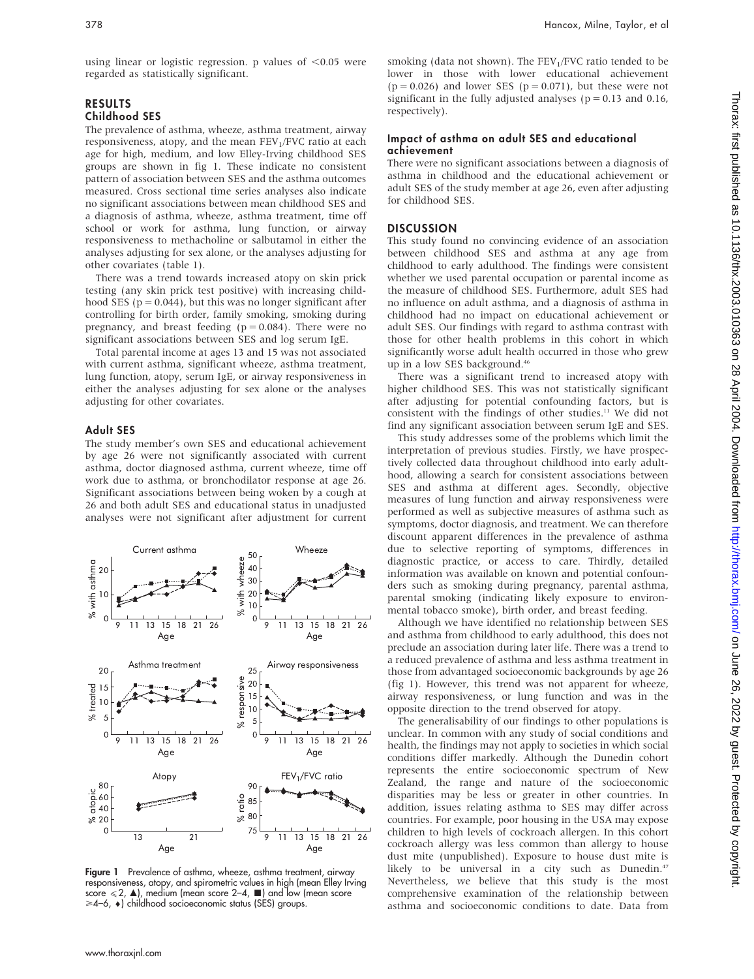using linear or logistic regression. p values of  $\leq 0.05$  were regarded as statistically significant.

# RESULTS

# Childhood SES

The prevalence of asthma, wheeze, asthma treatment, airway responsiveness, atopy, and the mean  $FEV<sub>1</sub>/FVC$  ratio at each age for high, medium, and low Elley-Irving childhood SES groups are shown in fig 1. These indicate no consistent pattern of association between SES and the asthma outcomes measured. Cross sectional time series analyses also indicate no significant associations between mean childhood SES and a diagnosis of asthma, wheeze, asthma treatment, time off school or work for asthma, lung function, or airway responsiveness to methacholine or salbutamol in either the analyses adjusting for sex alone, or the analyses adjusting for other covariates (table 1).

There was a trend towards increased atopy on skin prick testing (any skin prick test positive) with increasing childhood SES ( $p = 0.044$ ), but this was no longer significant after controlling for birth order, family smoking, smoking during pregnancy, and breast feeding ( $p = 0.084$ ). There were no significant associations between SES and log serum IgE.

Total parental income at ages 13 and 15 was not associated with current asthma, significant wheeze, asthma treatment, lung function, atopy, serum IgE, or airway responsiveness in either the analyses adjusting for sex alone or the analyses adjusting for other covariates.

#### Adult SES

The study member's own SES and educational achievement by age 26 were not significantly associated with current asthma, doctor diagnosed asthma, current wheeze, time off work due to asthma, or bronchodilator response at age 26. Significant associations between being woken by a cough at 26 and both adult SES and educational status in unadjusted analyses were not significant after adjustment for current



Figure 1 Prevalence of asthma, wheeze, asthma treatment, airway responsiveness, atopy, and spirometric values in high (mean Elley Irving score  $\leq 2$ ,  $\triangle$ ), medium (mean score 2–4,  $\blacksquare$ ) and low (mean score  $\geq 4-6$ ,  $\leftrightarrow$ ) childhood socioeconomic status (SES) groups.

smoking (data not shown). The  $FEV<sub>1</sub>/FVC$  ratio tended to be lower in those with lower educational achievement  $(p = 0.026)$  and lower SES  $(p = 0.071)$ , but these were not significant in the fully adjusted analyses ( $p = 0.13$  and 0.16, respectively).

#### Impact of asthma on adult SES and educational achievement

There were no significant associations between a diagnosis of asthma in childhood and the educational achievement or adult SES of the study member at age 26, even after adjusting for childhood SES.

#### **DISCUSSION**

This study found no convincing evidence of an association between childhood SES and asthma at any age from childhood to early adulthood. The findings were consistent whether we used parental occupation or parental income as the measure of childhood SES. Furthermore, adult SES had no influence on adult asthma, and a diagnosis of asthma in childhood had no impact on educational achievement or adult SES. Our findings with regard to asthma contrast with those for other health problems in this cohort in which significantly worse adult health occurred in those who grew up in a low SES background.<sup>46</sup>

There was a significant trend to increased atopy with higher childhood SES. This was not statistically significant after adjusting for potential confounding factors, but is consistent with the findings of other studies.<sup>11</sup> We did not find any significant association between serum IgE and SES.

This study addresses some of the problems which limit the interpretation of previous studies. Firstly, we have prospectively collected data throughout childhood into early adulthood, allowing a search for consistent associations between SES and asthma at different ages. Secondly, objective measures of lung function and airway responsiveness were performed as well as subjective measures of asthma such as symptoms, doctor diagnosis, and treatment. We can therefore discount apparent differences in the prevalence of asthma due to selective reporting of symptoms, differences in diagnostic practice, or access to care. Thirdly, detailed information was available on known and potential confounders such as smoking during pregnancy, parental asthma, parental smoking (indicating likely exposure to environmental tobacco smoke), birth order, and breast feeding.

Although we have identified no relationship between SES and asthma from childhood to early adulthood, this does not preclude an association during later life. There was a trend to a reduced prevalence of asthma and less asthma treatment in those from advantaged socioeconomic backgrounds by age 26 (fig 1). However, this trend was not apparent for wheeze, airway responsiveness, or lung function and was in the opposite direction to the trend observed for atopy.

The generalisability of our findings to other populations is unclear. In common with any study of social conditions and health, the findings may not apply to societies in which social conditions differ markedly. Although the Dunedin cohort represents the entire socioeconomic spectrum of New Zealand, the range and nature of the socioeconomic disparities may be less or greater in other countries. In addition, issues relating asthma to SES may differ across countries. For example, poor housing in the USA may expose children to high levels of cockroach allergen. In this cohort cockroach allergy was less common than allergy to house dust mite (unpublished). Exposure to house dust mite is likely to be universal in a city such as Dunedin.<sup>47</sup> Nevertheless, we believe that this study is the most comprehensive examination of the relationship between asthma and socioeconomic conditions to date. Data from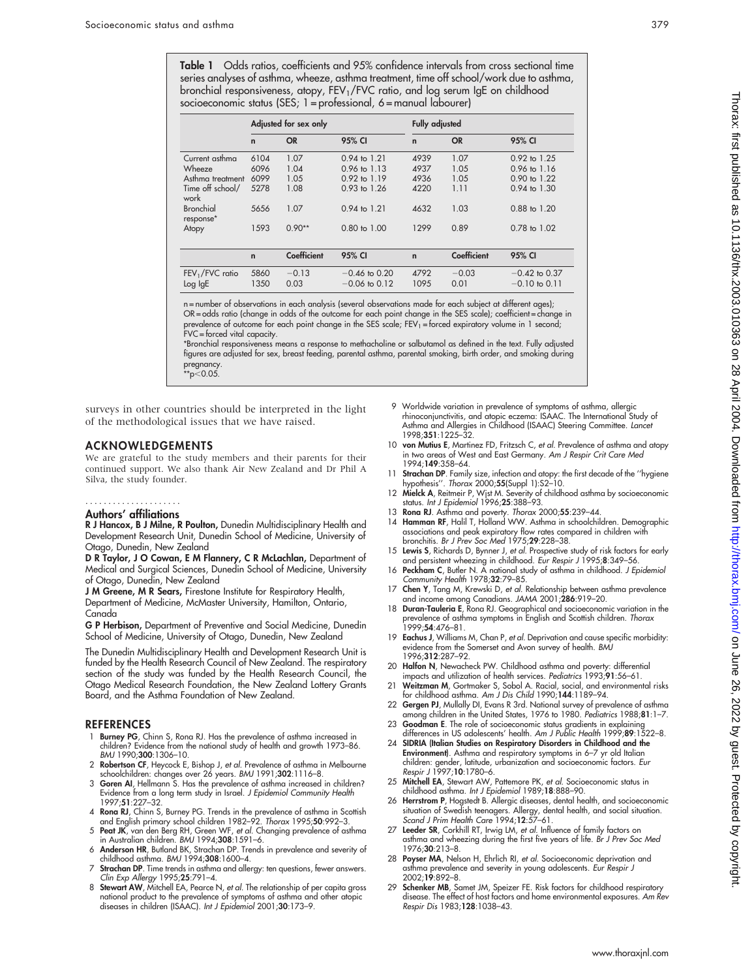|                          | Adjusted for sex only |             |                         | <b>Fully adjusted</b> |                    |                         |
|--------------------------|-----------------------|-------------|-------------------------|-----------------------|--------------------|-------------------------|
|                          | $\mathbf n$           | <b>OR</b>   | 95% CI                  | $\mathbf n$           | <b>OR</b>          | 95% CI                  |
| Current asthma           | 6104                  | 1.07        | $0.94$ to 1.21          | 4939                  | 1.07               | $0.92$ to $1.25$        |
| Wheeze                   | 6096                  | 1.04        | $0.96$ to $1.13$        | 4937                  | 1.05               | $0.96 \text{ to } 1.16$ |
| Asthma treatment         | 6099                  | 1.05        | 0.92 to 1.19            | 4936                  | 1.05               | $0.90 \text{ to } 1.22$ |
| Time off school/<br>work | 5278                  | 1.08        | $0.93$ to 1.26          | 4220                  | 1.11               | $0.94$ to $1.30$        |
| Bronchial<br>response*   | 5656                  | 1.07        | 0.94 to 1.21            | 4632                  | 1.03               | 0.88 to 1.20            |
| Atopy                    | 1593                  | $0.90**$    | $0.80 \text{ to } 1.00$ | 1299                  | 0.89               | $0.78$ to $1.02$        |
|                          | $\mathbf n$           | Coefficient | 95% CI                  | $\mathbf{r}$          | <b>Coefficient</b> | 95% CI                  |
|                          |                       |             |                         |                       |                    |                         |
| $FEV1/FVC$ ratio         | 5860                  | $-0.13$     | $-0.46$ to 0.20         | 4792                  | $-0.03$            | $-0.42$ to 0.37         |
| Log IgE                  | 1350                  | 0.03        | $-0.06$ to 0.12         | 1095                  | 0.01               | $-0.10$ to 0.11         |

n = number of observations in each analysis (several observations made for each subject at different ages); OR = odds ratio (change in odds of the outcome for each point change in the SES scale); coefficient = change in prevalence of outcome for each point change in the SES scale;  $FEV_1 =$  forced expiratory volume in 1 second; FVC = forced vital capacity.

\*Bronchial responsiveness means a response to methacholine or salbutamol as defined in the text. Fully adjusted figures are adjusted for sex, breast feeding, parental asthma, parental smoking, birth order, and smoking during pregnancy. \*\*p<0.05.

surveys in other countries should be interpreted in the light of the methodological issues that we have raised.

#### ACKNOWLEDGEMENTS

We are grateful to the study members and their parents for their continued support. We also thank Air New Zealand and Dr Phil A Silva, the study founder.

#### Authors' affiliations .....................

R J Hancox, B J Milne, R Poulton, Dunedin Multidisciplinary Health and Development Research Unit, Dunedin School of Medicine, University of Otago, Dunedin, New Zealand

D R Taylor, J O Cowan, E M Flannery, C R McLachlan, Department of Medical and Surgical Sciences, Dunedin School of Medicine, University of Otago, Dunedin, New Zealand

J M Greene, M R Sears, Firestone Institute for Respiratory Health, Department of Medicine, McMaster University, Hamilton, Ontario, Canada

G P Herbison, Department of Preventive and Social Medicine, Dunedin School of Medicine, University of Otago, Dunedin, New Zealand

The Dunedin Multidisciplinary Health and Development Research Unit is funded by the Health Research Council of New Zealand. The respiratory section of the study was funded by the Health Research Council, the Otago Medical Research Foundation, the New Zealand Lottery Grants Board, and the Asthma Foundation of New Zealand.

#### **REFERENCES**

- 1 Burney PG, Chinn S, Rona RJ. Has the prevalence of asthma increased in children? Evidence from the national study of health and growth 1973–86. BMJ 1990;300:1306–10.
- 2 Robertson CF, Heycock E, Bishop J, et al. Prevalence of asthma in Melbourne
- schoolchildren: changes over 26 years. BMJ 1991;3**02**:1116–8.<br>3 **Goren AI**, Hellmann S. Has the prevalence of asthma increased in children?<br>Evidence from a long term study in Israel. *J Epidemiol Community Health* 1997;51:227–32.
- 4 Rona RJ, Chinn S, Burney PG. Trends in the prevalence of asthma in Scottish and English primary school children 1982–92. Thorax 1995;50:992–3.
- 5 Peat JK, van den Berg RH, Green WF, et al. Changing prevalence of asthma in Australian children. BMJ 1994;308:1591–6.
- 6 Anderson HR, Butland BK, Strachan DP. Trends in prevalence and severity of childhood asthma. BMJ 1994;308:1600–4. Strachan DP. Time trends in asthma and allergy: ten questions, fewer answers.
- Clin Exp Allergy 1995;25:791–4. 8 Stewart AW, Mitchell EA, Pearce N, et al. The relationship of per capita gross
- national product to the prevalence ot symptoms ot asthma and other atopic<br>diseases in children (ISAAC). *Int J Epidemiol* 2001;**30**:173–9.
- 9 Worldwide variation in prevalence of symptoms of asthma, allergic<br>thinoconjunctivitis, and atopic eczema: ISAAC. The International Study of<br>Asthma and Allergies in Childhood (ISAAC) Steering Committee. *Lancet*<br>1998;**351**
- 10 von Mutius E, Martinez FD, Fritzsch C, et al. Prevalence of asthma and atopy in two areas of West and East Germany. Am J Respir Crit Care Med 1994;149:358–64.
- 11 Strachan DP. Family size, infection and atopy: the first decade of the ''hygiene hypothesis''. Thorax 2000;55(Suppl 1):S2–10.
- 12 Mielck A, Reitmeir P, Wjst M. Severity of childhood asthma by socioeconomic status. Int J Epidemiol 1996;25:388–93.
- 13 Rona RJ. Asthma and poverty. Thorax 2000;55:239–44.
- 14 Hamman RF, Halil T, Holland WW. Asthma in schoolchildren. Demographic associations and peak expiratory flow rates compared in children with bronchitis. Br J Prev Soc Med 1975;29:228–38.
- 15 Lewis S, Richards D, Bynner J, et al. Prospective study of risk factors for early and persistent wheezing in childhood. Eur Respir J 1995;8:349-56.
- 16 Peckham C, Butler N. A national study of asthma in childhood. J Epidemiol Community Health 1978;32:79-85.
- 17 Chen Y, Tang M, Krewski D, et al. Relationship between asthma prevalence
- and income among Canadians. JAMA 2001;**286**:919–20.<br>18 **Duran-Tauleria E**, Rona RJ. Geographical and socioeconomic variation in the prevalence of asthma symptoms in English and Scottish children. Thorax 1999;54:476–81.
- 19 Eachus J, Williams M, Chan P, et al. Deprivation and cause specific morbidity: evidence from the Somerset and Avon survey of health. BMJ 1996;312:287–92.
- 20 Halfon N, Newacheck PW. Childhood asthma and poverty: differential impacts and utilization of health services. Pediatrics 1993;91:56–61.
- 21 Weitzman M, Gortmaker S, Sobol A. Racial, social, and environmental risks for childhood asthma. Am J Dis Child 1990;144:1189–94.
- 22 Gergen PJ, Mullally DI, Evans R 3rd. National survey of prevalence of asthma among children in the United States, 1976 to 1980. Pediatrics 1988;81:1–7.
- 23 Goodman E. The role of socioeconomic status gradients in explaining differences in US adolescents' health. Am J Public Health 1999;89:1522–8.
- 24 SIDRIA (Italian Studies on Respiratory Disorders in Childhood and the Environment). Asthma and respiratory symptoms in 6–7 yr old Italian children: gender, latitude, urbanization and socioeconomic factors. Eur Respir J 1997;10:1780–6.
- 25 Mitchell EA, Stewart AW, Pattemore PK, et al. Socioeconomic status in childhood asthma. Int J Epidemiol 1989;18:888–90.
- 26 Herrstrom P, Hogstedt B. Allergic diseases, dental health, and socioeconomic situation of Swedish teenagers. Allergy, dental health, and social situation. Scand J Prim Health Care 1994;12:57–61.
- 27 Leeder SR, Corkhill RT, Irwig LM, et al. Influence of family factors on asthma and wheezing during the first five years of life. Br J Prev Soc Med 1976;30:213–8.
- 28 Poyser MA, Nelson H, Ehrlich RI, et al. Socioeconomic deprivation and asthma prevalence and severity in young adolescents. Eur Respir J 2002;19:892–8.
- 29 Schenker MB, Samet JM, Speizer FE. Risk factors for childhood respiratory disease. The effect of host factors and home environmental exposures. Am Rev Respir Dis 1983;128:1038–43.